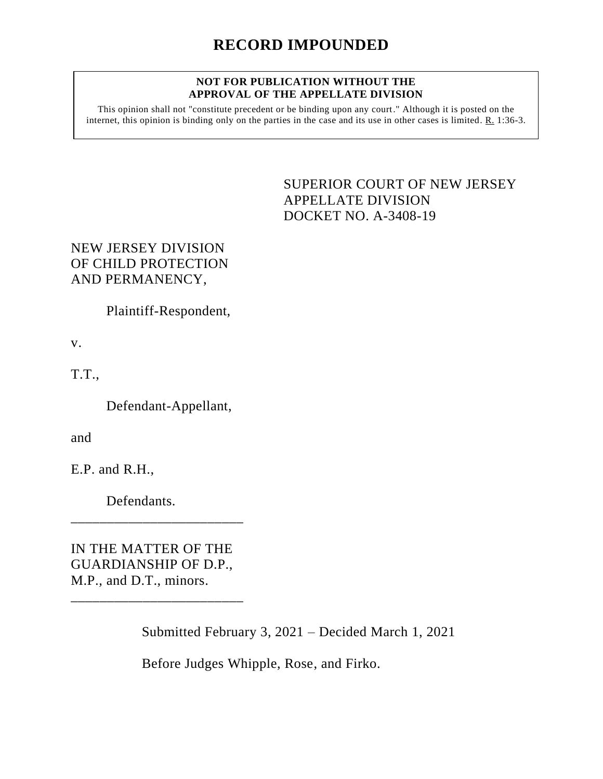## **NOT FOR PUBLICATION WITHOUT THE APPROVAL OF THE APPELLATE DIVISION**

This opinion shall not "constitute precedent or be binding upon any court." Although it is posted on the internet, this opinion is binding only on the parties in the case and its use in other cases is limited. R. 1:36-3.

> <span id="page-0-0"></span>SUPERIOR COURT OF NEW JERSEY APPELLATE DIVISION DOCKET NO. A-3408-19

## NEW JERSEY DIVISION OF CHILD PROTECTION AND PERMANENCY,

Plaintiff-Respondent,

v.

T.T.,

Defendant-Appellant,

and

E.P. and R.H.,

Defendants.

IN THE MATTER OF THE GUARDIANSHIP OF D.P., M.P., and D.T., minors.

\_\_\_\_\_\_\_\_\_\_\_\_\_\_\_\_\_\_\_\_\_\_\_\_

\_\_\_\_\_\_\_\_\_\_\_\_\_\_\_\_\_\_\_\_\_\_\_\_

Submitted February 3, 2021 – Decided March 1, 2021

Before Judges Whipple, Rose, and Firko.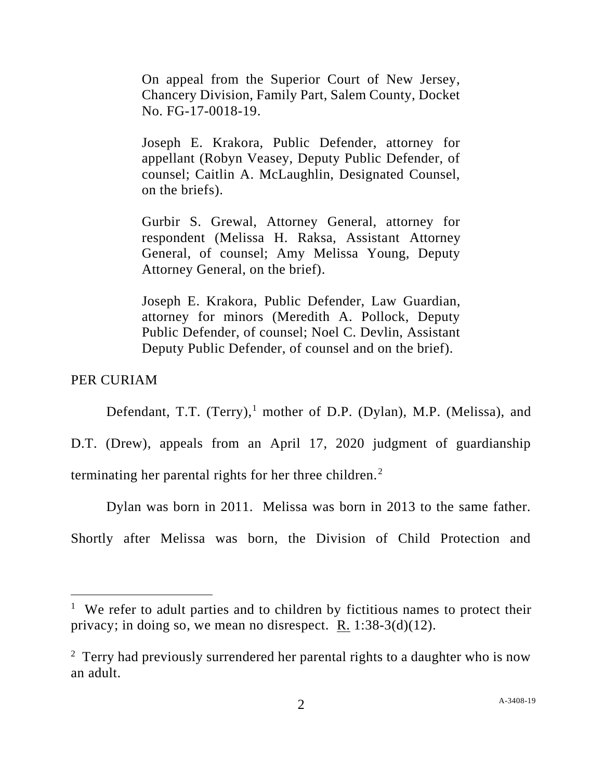On appeal from the Superior Court of New Jersey, Chancery Division, Family Part, Salem County, Docket No. FG-17-0018-19.

Joseph E. Krakora, Public Defender, attorney for appellant (Robyn Veasey, Deputy Public Defender, of counsel; Caitlin A. McLaughlin, Designated Counsel, on the briefs).

Gurbir S. Grewal, Attorney General, attorney for respondent (Melissa H. Raksa, Assistant Attorney General, of counsel; Amy Melissa Young, Deputy Attorney General, on the brief).

Joseph E. Krakora, Public Defender, Law Guardian, attorney for minors (Meredith A. Pollock, Deputy Public Defender, of counsel; Noel C. Devlin, Assistant Deputy Public Defender, of counsel and on the brief).

## PER CURIAM

Defendant, T.T. (Terry),<sup>1</sup> mother of D.P. (Dylan), M.P. (Melissa), and

D.T. (Drew), appeals from an April 17, 2020 judgment of guardianship terminating her parental rights for her three children. $<sup>2</sup>$ </sup>

Dylan was born in 2011. Melissa was born in 2013 to the same father.

Shortly after Melissa was born, the Division of Child Protection and

<sup>&</sup>lt;sup>1</sup> We refer to adult parties and to children by fictitious names to protect their privacy; in doing so, we mean no disrespect. R. 1:38-3(d)(12).

<sup>&</sup>lt;sup>2</sup> Terry had previously surrendered her parental rights to a daughter who is now an adult.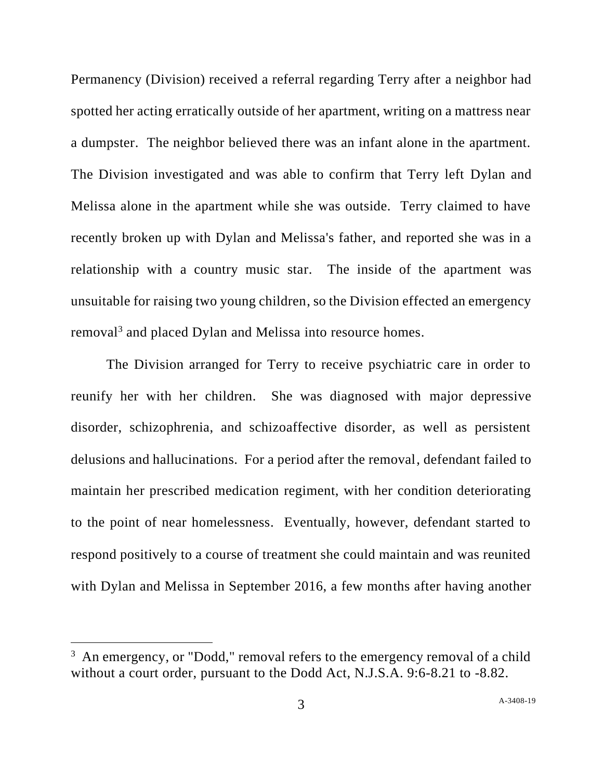Permanency (Division) received a referral regarding Terry after a neighbor had spotted her acting erratically outside of her apartment, writing on a mattress near a dumpster. The neighbor believed there was an infant alone in the apartment. The Division investigated and was able to confirm that Terry left Dylan and Melissa alone in the apartment while she was outside. Terry claimed to have recently broken up with Dylan and Melissa's father, and reported she was in a relationship with a country music star. The inside of the apartment was unsuitable for raising two young children, so the Division effected an emergency removal<sup>3</sup> and placed Dylan and Melissa into resource homes.

The Division arranged for Terry to receive psychiatric care in order to reunify her with her children. She was diagnosed with major depressive disorder, schizophrenia, and schizoaffective disorder, as well as persistent delusions and hallucinations. For a period after the removal, defendant failed to maintain her prescribed medication regiment, with her condition deteriorating to the point of near homelessness. Eventually, however, defendant started to respond positively to a course of treatment she could maintain and was reunited with Dylan and Melissa in September 2016, a few months after having another

<sup>&</sup>lt;sup>3</sup> An emergency, or "Dodd," removal refers to the emergency removal of a child without a court order, pursuant to the Dodd Act, N.J.S.A. 9:6-8.21 to -8.82.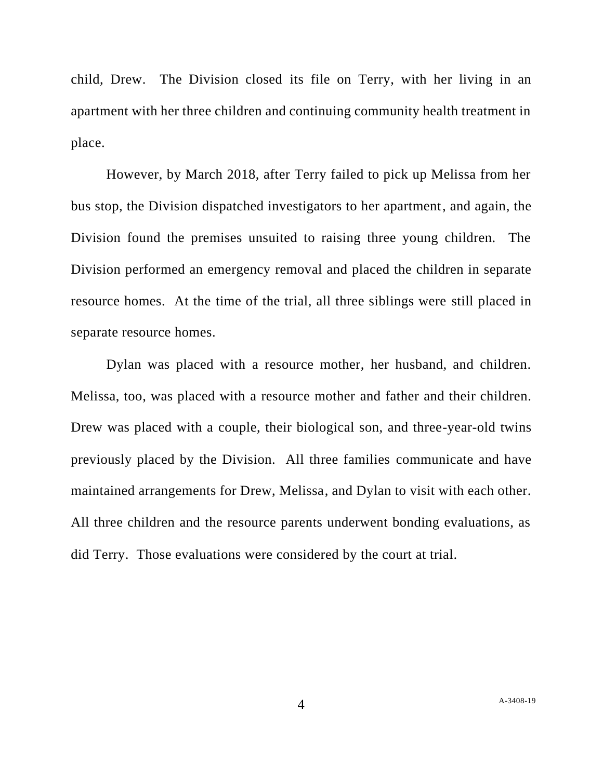child, Drew. The Division closed its file on Terry, with her living in an apartment with her three children and continuing community health treatment in place.

However, by March 2018, after Terry failed to pick up Melissa from her bus stop, the Division dispatched investigators to her apartment, and again, the Division found the premises unsuited to raising three young children. The Division performed an emergency removal and placed the children in separate resource homes. At the time of the trial, all three siblings were still placed in separate resource homes.

Dylan was placed with a resource mother, her husband, and children. Melissa, too, was placed with a resource mother and father and their children. Drew was placed with a couple, their biological son, and three-year-old twins previously placed by the Division. All three families communicate and have maintained arrangements for Drew, Melissa, and Dylan to visit with each other. All three children and the resource parents underwent bonding evaluations, as did Terry. Those evaluations were considered by the court at trial.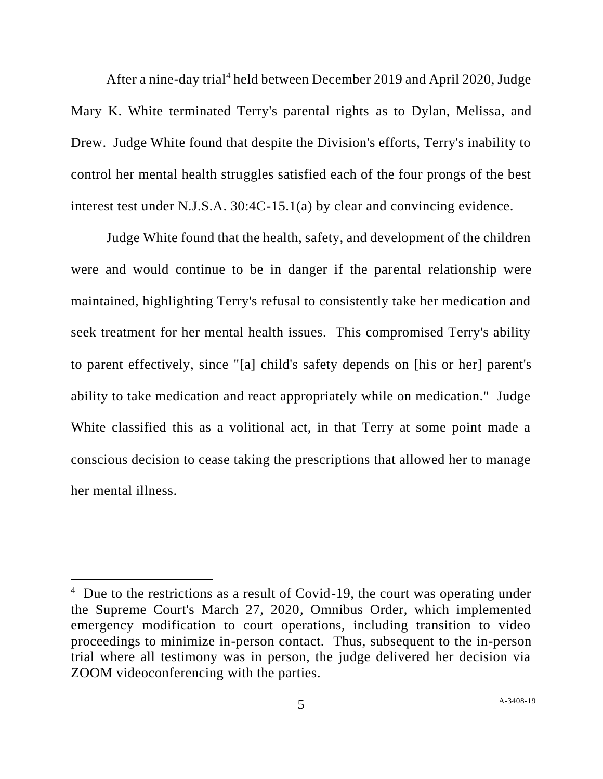After a nine-day trial<sup>4</sup> held between December 2019 and April 2020, Judge Mary K. White terminated Terry's parental rights as to Dylan, Melissa, and Drew. Judge White found that despite the Division's efforts, Terry's inability to control her mental health struggles satisfied each of the four prongs of the best interest test under N.J.S.A. 30:4C-15.1(a) by clear and convincing evidence.

Judge White found that the health, safety, and development of the children were and would continue to be in danger if the parental relationship were maintained, highlighting Terry's refusal to consistently take her medication and seek treatment for her mental health issues. This compromised Terry's ability to parent effectively, since "[a] child's safety depends on [his or her] parent's ability to take medication and react appropriately while on medication." Judge White classified this as a volitional act, in that Terry at some point made a conscious decision to cease taking the prescriptions that allowed her to manage her mental illness.

<sup>&</sup>lt;sup>4</sup> Due to the restrictions as a result of Covid-19, the court was operating under the Supreme Court's March 27, 2020, Omnibus Order, which implemented emergency modification to court operations, including transition to video proceedings to minimize in-person contact. Thus, subsequent to the in-person trial where all testimony was in person, the judge delivered her decision via ZOOM videoconferencing with the parties.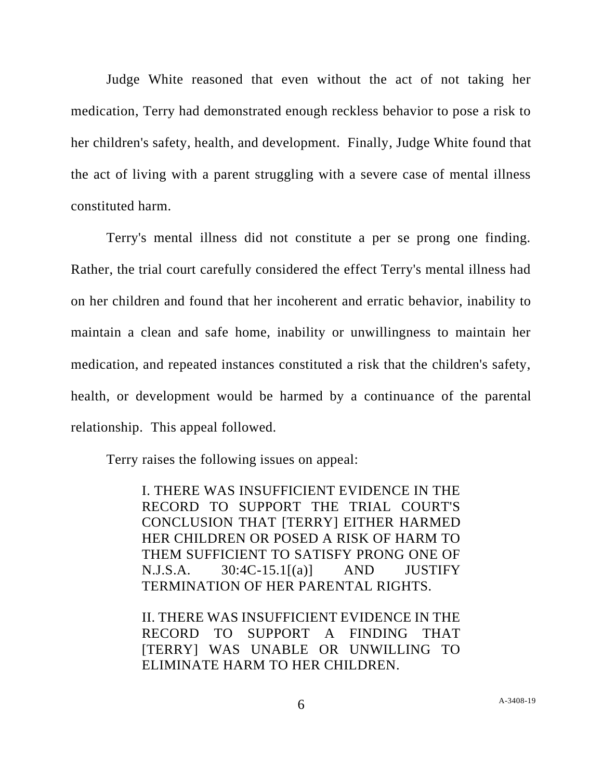Judge White reasoned that even without the act of not taking her medication, Terry had demonstrated enough reckless behavior to pose a risk to her children's safety, health, and development. Finally, Judge White found that the act of living with a parent struggling with a severe case of mental illness constituted harm.

Terry's mental illness did not constitute a per se prong one finding. Rather, the trial court carefully considered the effect Terry's mental illness had on her children and found that her incoherent and erratic behavior, inability to maintain a clean and safe home, inability or unwillingness to maintain her medication, and repeated instances constituted a risk that the children's safety, health, or development would be harmed by a continuance of the parental relationship. This appeal followed.

Terry raises the following issues on appeal:

I. THERE WAS INSUFFICIENT EVIDENCE IN THE RECORD TO SUPPORT THE TRIAL COURT'S CONCLUSION THAT [TERRY] EITHER HARMED HER CHILDREN OR POSED A RISK OF HARM TO THEM SUFFICIENT TO SATISFY PRONG ONE OF  $N.J.S.A.$  30:4C-15.1 $[(a)]$  AND JUSTIFY TERMINATION OF HER PARENTAL RIGHTS.

II. THERE WAS INSUFFICIENT EVIDENCE IN THE RECORD TO SUPPORT A FINDING THAT [TERRY] WAS UNABLE OR UNWILLING TO ELIMINATE HARM TO HER CHILDREN.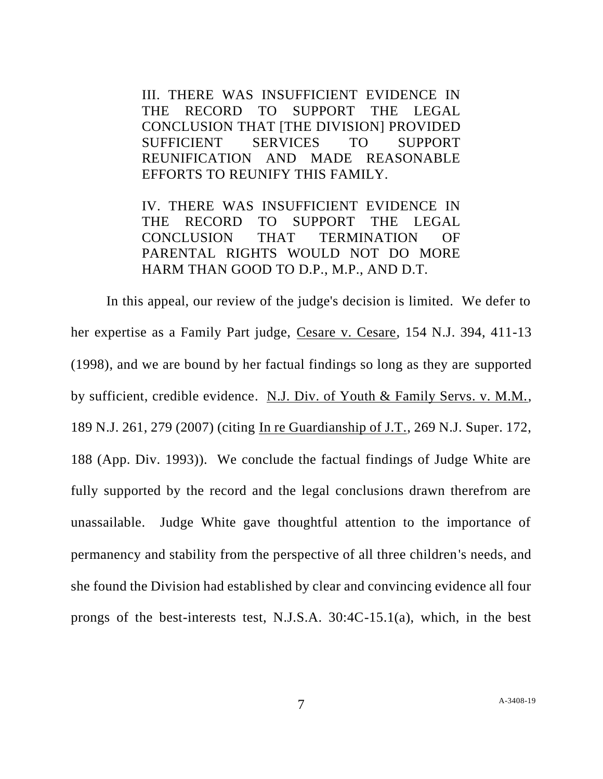III. THERE WAS INSUFFICIENT EVIDENCE IN THE RECORD TO SUPPORT THE LEGAL CONCLUSION THAT [THE DIVISION] PROVIDED SUFFICIENT SERVICES TO SUPPORT REUNIFICATION AND MADE REASONABLE EFFORTS TO REUNIFY THIS FAMILY.

IV. THERE WAS INSUFFICIENT EVIDENCE IN THE RECORD TO SUPPORT THE LEGAL CONCLUSION THAT TERMINATION OF PARENTAL RIGHTS WOULD NOT DO MORE HARM THAN GOOD TO D.P., M.P., AND D.T.

In this appeal, our review of the judge's decision is limited. We defer to her expertise as a Family Part judge, Cesare v. Cesare, 154 N.J. 394, 411-13 (1998), and we are bound by her factual findings so long as they are supported by sufficient, credible evidence. N.J. Div. of Youth & Family Servs. v. M.M., 189 N.J. 261, 279 (2007) (citing In re Guardianship of J.T., 269 N.J. Super. 172, 188 (App. Div. 1993)). We conclude the factual findings of Judge White are fully supported by the record and the legal conclusions drawn therefrom are unassailable. Judge White gave thoughtful attention to the importance of permanency and stability from the perspective of all three children's needs, and she found the Division had established by clear and convincing evidence all four prongs of the best-interests test, N.J.S.A. 30:4C-15.1(a), which, in the best